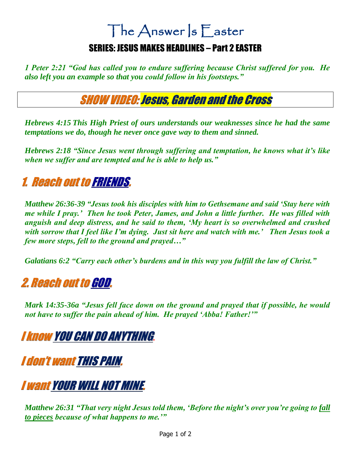# The Answer S Easter

#### SERIES: JESUS MAKES HEADLINES – Part 2 EASTER

*1 Peter 2:21 "God has called you to endure suffering because Christ suffered for you. He also left you an example so that you could follow in his footsteps."*

#### SHOW VIDEO: Jesus, Garden and the Cross

*Hebrews 4:15 This High Priest of ours understands our weaknesses since he had the same temptations we do, though he never once gave way to them and sinned.*

*Hebrews 2:18 "Since Jesus went through suffering and temptation, he knows what it's like when we suffer and are tempted and he is able to help us."* 

# 1. Reach out to FRIENDS.

*Matthew 26:36-39 "Jesus took his disciples with him to Gethsemane and said 'Stay here with me while I pray.' Then he took Peter, James, and John a little further. He was filled with anguish and deep distress, and he said to them, 'My heart is so overwhelmed and crushed with sorrow that I feel like I'm dying. Just sit here and watch with me.' Then Jesus took a few more steps, fell to the ground and prayed…"* 

*Galatians 6:2 "Carry each other's burdens and in this way you fulfill the law of Christ."* 

### 2. Reach out to GOD.

*Mark 14:35-36a "Jesus fell face down on the ground and prayed that if possible, he would not have to suffer the pain ahead of him. He prayed 'Abba! Father!'"*

# I know YOU CAN DO ANYTHING**.**

I don't want THIS PAIN.

# I want YOUR WILL NOT MINE.

*Matthew 26:31 "That very night Jesus told them, 'Before the night's over you're going to fall to pieces because of what happens to me.'"*